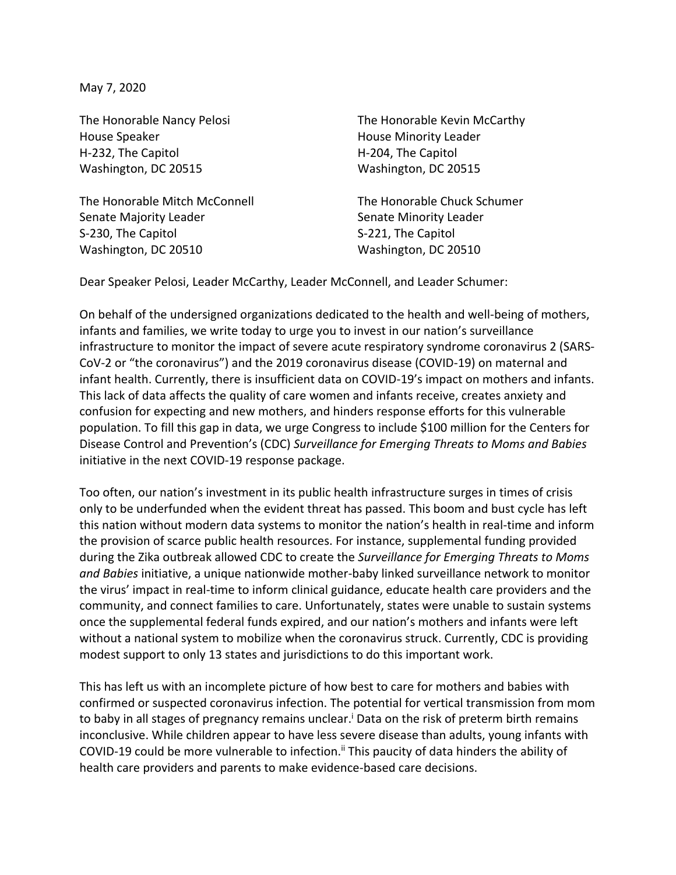May 7, 2020

House Speaker **House Minority Leader House Minority Leader** H-232, The Capitol **H-204**, The Capitol Washington, DC 20515 Washington, DC 20515

The Honorable Mitch McConnell The Honorable Chuck Schumer Senate Majority Leader Senate Minority Leader S-230, The Capitol S-221, The Capitol Washington, DC 20510 Washington, DC 20510

The Honorable Nancy Pelosi The Honorable Kevin McCarthy

Dear Speaker Pelosi, Leader McCarthy, Leader McConnell, and Leader Schumer:

On behalf of the undersigned organizations dedicated to the health and well-being of mothers, infants and families, we write today to urge you to invest in our nation's surveillance infrastructure to monitor the impact of severe acute respiratory syndrome coronavirus 2 (SARS-CoV-2 or "the coronavirus") and the 2019 coronavirus disease (COVID-19) on maternal and infant health. Currently, there is insufficient data on COVID-19's impact on mothers and infants. This lack of data affects the quality of care women and infants receive, creates anxiety and confusion for expecting and new mothers, and hinders response efforts for this vulnerable population. To fill this gap in data, we urge Congress to include \$100 million for the Centers for Disease Control and Prevention's (CDC) *Surveillance for Emerging Threats to Moms and Babies* initiative in the next COVID-19 response package.

Too often, our nation's investment in its public health infrastructure surges in times of crisis only to be underfunded when the evident threat has passed. This boom and bust cycle has left this nation without modern data systems to monitor the nation's health in real-time and inform the provision of scarce public health resources. For instance, supplemental funding provided during the Zika outbreak allowed CDC to create the *Surveillance for Emerging Threats to Moms and Babies* initiative, a unique nationwide mother-baby linked surveillance network to monitor the virus' impact in real-time to inform clinical guidance, educate health care providers and the community, and connect families to care. Unfortunately, states were unable to sustain systems once the supplemental federal funds expired, and our nation's mothers and infants were left without a national system to mobilize when the coronavirus struck. Currently, CDC is providing modest support to only 13 states and jurisdictions to do this important work.

This has left us with an incomplete picture of how best to care for mothers and babies with confirmed or suspected coronavirus infection. The potential for vertical transmission from mom to baby in all stages of pregnancy remains unclear.<sup>I</sup> Data on the risk of preterm birth remains inconclusive. While children appear to have less severe disease than adults, young infants with COVID-19 could be more vulnerable to infection.<sup>ii</sup> This paucity of data hinders the ability of health care providers and parents to make evidence-based care decisions.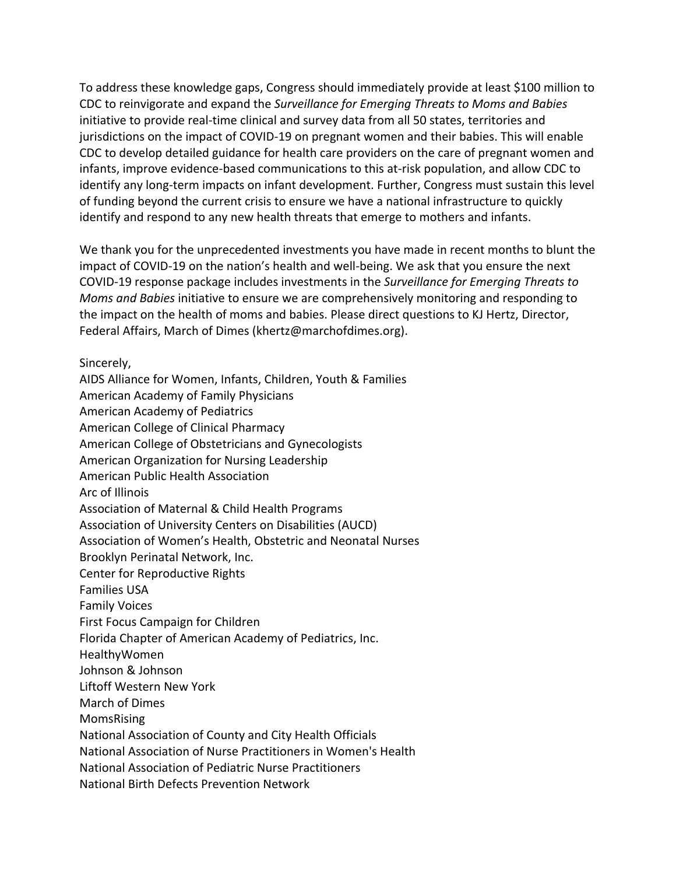To address these knowledge gaps, Congress should immediately provide at least \$100 million to CDC to reinvigorate and expand the *Surveillance for Emerging Threats to Moms and Babies*  initiative to provide real-time clinical and survey data from all 50 states, territories and jurisdictions on the impact of COVID-19 on pregnant women and their babies. This will enable CDC to develop detailed guidance for health care providers on the care of pregnant women and infants, improve evidence-based communications to this at-risk population, and allow CDC to identify any long-term impacts on infant development. Further, Congress must sustain this level of funding beyond the current crisis to ensure we have a national infrastructure to quickly identify and respond to any new health threats that emerge to mothers and infants.

We thank you for the unprecedented investments you have made in recent months to blunt the impact of COVID-19 on the nation's health and well-being. We ask that you ensure the next COVID-19 response package includes investments in the *Surveillance for Emerging Threats to Moms and Babies* initiative to ensure we are comprehensively monitoring and responding to the impact on the health of moms and babies. Please direct questions to KJ Hertz, Director, Federal Affairs, March of Dimes (khertz@marchofdimes.org).

Sincerely,

AIDS Alliance for Women, Infants, Children, Youth & Families American Academy of Family Physicians American Academy of Pediatrics American College of Clinical Pharmacy American College of Obstetricians and Gynecologists American Organization for Nursing Leadership American Public Health Association Arc of Illinois Association of Maternal & Child Health Programs Association of University Centers on Disabilities (AUCD) Association of Women's Health, Obstetric and Neonatal Nurses Brooklyn Perinatal Network, Inc. Center for Reproductive Rights Families USA Family Voices First Focus Campaign for Children Florida Chapter of American Academy of Pediatrics, Inc. HealthyWomen Johnson & Johnson Liftoff Western New York March of Dimes MomsRising National Association of County and City Health Officials National Association of Nurse Practitioners in Women's Health National Association of Pediatric Nurse Practitioners National Birth Defects Prevention Network